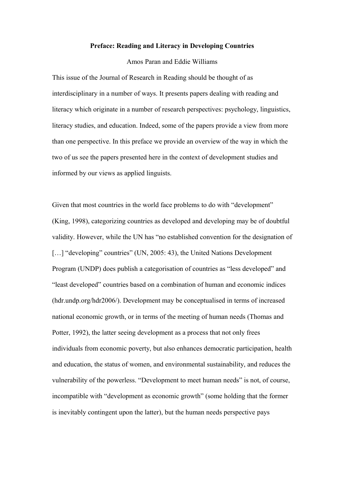## **Preface: Reading and Literacy in Developing Countries**

Amos Paran and Eddie Williams

This issue of the Journal of Research in Reading should be thought of as interdisciplinary in a number of ways. It presents papers dealing with reading and literacy which originate in a number of research perspectives: psychology, linguistics, literacy studies, and education. Indeed, some of the papers provide a view from more than one perspective. In this preface we provide an overview of the way in which the two of us see the papers presented here in the context of development studies and informed by our views as applied linguists.

Given that most countries in the world face problems to do with "development" (King, 1998), categorizing countries as developed and developing may be of doubtful validity. However, while the UN has "no established convention for the designation of [...] "developing" countries" (UN, 2005: 43), the United Nations Development Program (UNDP) does publish a categorisation of countries as "less developed" and "least developed" countries based on a combination of human and economic indices (hdr.undp.org/hdr2006/). Development may be conceptualised in terms of increased national economic growth, or in terms of the meeting of human needs (Thomas and Potter, 1992), the latter seeing development as a process that not only frees individuals from economic poverty, but also enhances democratic participation, health and education, the status of women, and environmental sustainability, and reduces the vulnerability of the powerless. "Development to meet human needs" is not, of course, incompatible with "development as economic growth" (some holding that the former is inevitably contingent upon the latter), but the human needs perspective pays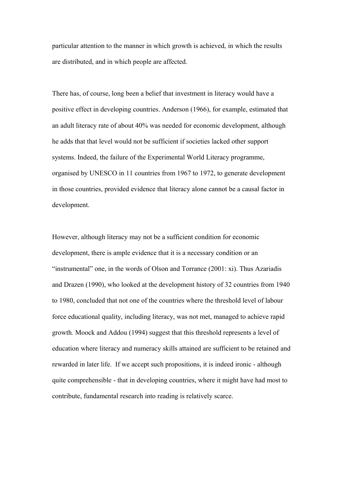particular attention to the manner in which growth is achieved, in which the results are distributed, and in which people are affected.

There has, of course, long been a belief that investment in literacy would have a positive effect in developing countries. Anderson (1966), for example, estimated that an adult literacy rate of about 40% was needed for economic development, although he adds that that level would not be sufficient if societies lacked other support systems. Indeed, the failure of the Experimental World Literacy programme, organised by UNESCO in 11 countries from 1967 to 1972, to generate development in those countries, provided evidence that literacy alone cannot be a causal factor in development.

However, although literacy may not be a sufficient condition for economic development, there is ample evidence that it is a necessary condition or an "instrumental" one, in the words of Olson and Torrance (2001: xi). Thus Azariadis and Drazen (1990), who looked at the development history of 32 countries from 1940 to 1980, concluded that not one of the countries where the threshold level of labour force educational quality, including literacy, was not met, managed to achieve rapid growth*.* Moock and Addou (1994) suggest that this threshold represents a level of education where literacy and numeracy skills attained are sufficient to be retained and rewarded in later life. If we accept such propositions, it is indeed ironic - although quite comprehensible - that in developing countries, where it might have had most to contribute, fundamental research into reading is relatively scarce.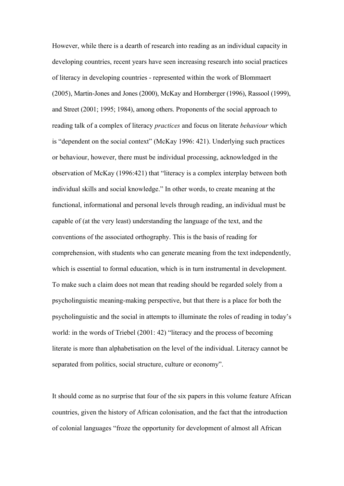However, while there is a dearth of research into reading as an individual capacity in developing countries, recent years have seen increasing research into social practices of literacy in developing countries - represented within the work of Blommaert (2005), Martin-Jones and Jones (2000), McKay and Hornberger (1996), Rassool (1999), and Street (2001; 1995; 1984), among others. Proponents of the social approach to reading talk of a complex of literacy *practices* and focus on literate *behaviour* which is "dependent on the social context" (McKay 1996: 421). Underlying such practices or behaviour, however, there must be individual processing, acknowledged in the observation of McKay (1996:421) that "literacy is a complex interplay between both individual skills and social knowledge." In other words, to create meaning at the functional, informational and personal levels through reading, an individual must be capable of (at the very least) understanding the language of the text, and the conventions of the associated orthography. This is the basis of reading for comprehension, with students who can generate meaning from the text independently, which is essential to formal education, which is in turn instrumental in development. To make such a claim does not mean that reading should be regarded solely from a psycholinguistic meaning-making perspective, but that there is a place for both the psycholinguistic and the social in attempts to illuminate the roles of reading in today's world: in the words of Triebel (2001: 42) "literacy and the process of becoming literate is more than alphabetisation on the level of the individual. Literacy cannot be separated from politics, social structure, culture or economy".

It should come as no surprise that four of the six papers in this volume feature African countries, given the history of African colonisation, and the fact that the introduction of colonial languages "froze the opportunity for development of almost all African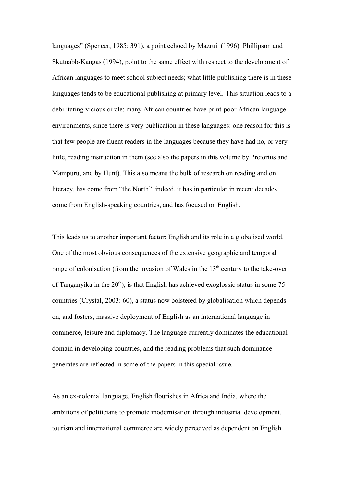languages" (Spencer, 1985: 391), a point echoed by Mazrui (1996). Phillipson and Skutnabb-Kangas (1994), point to the same effect with respect to the development of African languages to meet school subject needs; what little publishing there is in these languages tends to be educational publishing at primary level. This situation leads to a debilitating vicious circle: many African countries have print-poor African language environments, since there is very publication in these languages: one reason for this is that few people are fluent readers in the languages because they have had no, or very little, reading instruction in them (see also the papers in this volume by Pretorius and Mampuru, and by Hunt). This also means the bulk of research on reading and on literacy, has come from "the North", indeed, it has in particular in recent decades come from English-speaking countries, and has focused on English.

This leads us to another important factor: English and its role in a globalised world. One of the most obvious consequences of the extensive geographic and temporal range of colonisation (from the invasion of Wales in the  $13<sup>th</sup>$  century to the take-over of Tanganyika in the  $20<sup>th</sup>$ ), is that English has achieved exoglossic status in some 75 countries (Crystal, 2003: 60), a status now bolstered by globalisation which depends on, and fosters, massive deployment of English as an international language in commerce, leisure and diplomacy. The language currently dominates the educational domain in developing countries, and the reading problems that such dominance generates are reflected in some of the papers in this special issue.

As an ex-colonial language, English flourishes in Africa and India, where the ambitions of politicians to promote modernisation through industrial development, tourism and international commerce are widely perceived as dependent on English.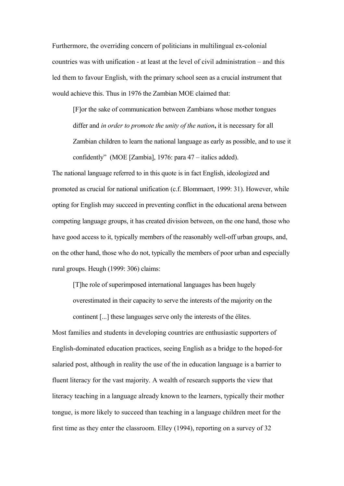Furthermore, the overriding concern of politicians in multilingual ex-colonial countries was with unification - at least at the level of civil administration – and this led them to favour English, with the primary school seen as a crucial instrument that would achieve this. Thus in 1976 the Zambian MOE claimed that:

[F]or the sake of communication between Zambians whose mother tongues differ and *in order to promote the unity of the nation***,** it is necessary for all Zambian children to learn the national language as early as possible, and to use it confidently" (MOE [Zambia], 1976: para 47 – italics added).

The national language referred to in this quote is in fact English, ideologized and promoted as crucial for national unification (c.f. Blommaert, 1999: 31). However, while opting for English may succeed in preventing conflict in the educational arena between competing language groups, it has created division between, on the one hand, those who have good access to it, typically members of the reasonably well-off urban groups, and, on the other hand, those who do not, typically the members of poor urban and especially rural groups. Heugh (1999: 306) claims:

[T]he role of superimposed international languages has been hugely overestimated in their capacity to serve the interests of the majority on the continent [...] these languages serve only the interests of the élites.

Most families and students in developing countries are enthusiastic supporters of English-dominated education practices, seeing English as a bridge to the hoped-for salaried post, although in reality the use of the in education language is a barrier to fluent literacy for the vast majority. A wealth of research supports the view that literacy teaching in a language already known to the learners, typically their mother tongue, is more likely to succeed than teaching in a language children meet for the first time as they enter the classroom. Elley (1994), reporting on a survey of 32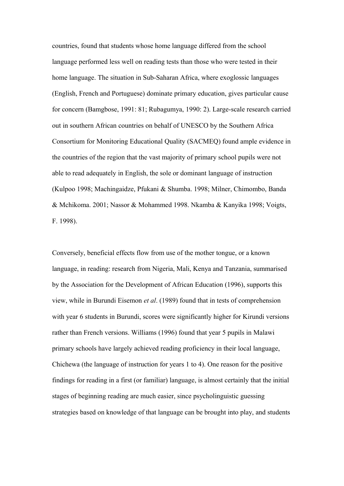countries, found that students whose home language differed from the school language performed less well on reading tests than those who were tested in their home language. The situation in Sub-Saharan Africa, where exoglossic languages (English, French and Portuguese) dominate primary education, gives particular cause for concern (Bamgbose, 1991: 81; Rubagumya, 1990: 2). Large-scale research carried out in southern African countries on behalf of UNESCO by the Southern Africa Consortium for Monitoring Educational Quality (SACMEQ) found ample evidence in the countries of the region that the vast majority of primary school pupils were not able to read adequately in English, the sole or dominant language of instruction (Kulpoo 1998; Machingaidze, Pfukani & Shumba. 1998; Milner, Chimombo, Banda & Mchikoma. 2001; Nassor & Mohammed 1998. Nkamba & Kanyika 1998; Voigts, F. 1998).

Conversely, beneficial effects flow from use of the mother tongue, or a known language, in reading: research from Nigeria, Mali, Kenya and Tanzania, summarised by the Association for the Development of African Education (1996), supports this view, while in Burundi Eisemon *et al*. (1989) found that in tests of comprehension with year 6 students in Burundi, scores were significantly higher for Kirundi versions rather than French versions. Williams (1996) found that year 5 pupils in Malawi primary schools have largely achieved reading proficiency in their local language, Chichewa (the language of instruction for years 1 to 4). One reason for the positive findings for reading in a first (or familiar) language, is almost certainly that the initial stages of beginning reading are much easier, since psycholinguistic guessing strategies based on knowledge of that language can be brought into play, and students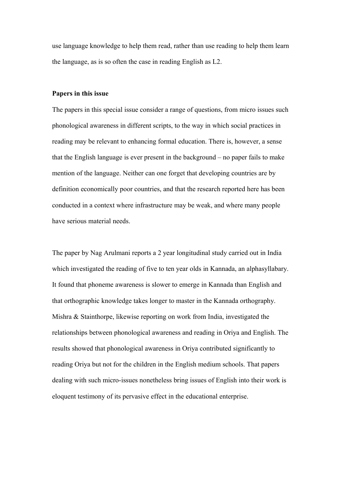use language knowledge to help them read, rather than use reading to help them learn the language, as is so often the case in reading English as L2.

## **Papers in this issue**

The papers in this special issue consider a range of questions, from micro issues such phonological awareness in different scripts, to the way in which social practices in reading may be relevant to enhancing formal education. There is, however, a sense that the English language is ever present in the background – no paper fails to make mention of the language. Neither can one forget that developing countries are by definition economically poor countries, and that the research reported here has been conducted in a context where infrastructure may be weak, and where many people have serious material needs.

The paper by Nag Arulmani reports a 2 year longitudinal study carried out in India which investigated the reading of five to ten year olds in Kannada, an alphasyllabary. It found that phoneme awareness is slower to emerge in Kannada than English and that orthographic knowledge takes longer to master in the Kannada orthography. Mishra & Stainthorpe, likewise reporting on work from India, investigated the relationships between phonological awareness and reading in Oriya and English. The results showed that phonological awareness in Oriya contributed significantly to reading Oriya but not for the children in the English medium schools. That papers dealing with such micro-issues nonetheless bring issues of English into their work is eloquent testimony of its pervasive effect in the educational enterprise.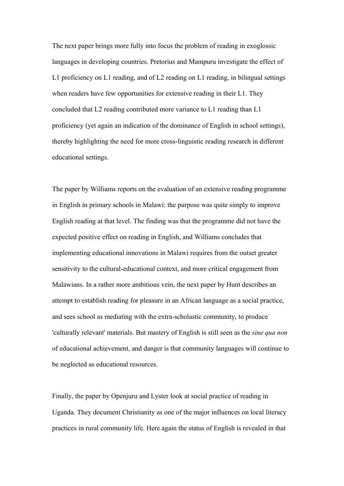The next paper brings more fully into focus the problem of reading in exoglossic languages in developing countries. Pretorius and Mampuru investigate the effect of L1 proficiency on L1 reading, and of L2 reading on L1 reading, in bilingual settings when readers have few opportunities for extensive reading in their L1. They concluded that L2 reading contributed more variance to L1 reading than L1 proficiency (yet again an indication of the dominance of English in school settings), thereby highlighting the need for more cross-linguistic reading research in different educational settings.

The paper by Williams reports on the evaluation of an extensive reading programme in English in primary schools in Malawi: the purpose was quite simply to improve English reading at that level. The finding was that the programme did not have the expected positive effect on reading in English, and Williams concludes that implementing educational innovations in Malawi requires from the outset greater sensitivity to the cultural-educational context, and more critical engagement from Malawians. In a rather more ambitious vein, the next paper by Hunt describes an attempt to establish reading for pleasure in an African language as a social practice, and sees school as mediating with the extra-scholastic community, to produce 'culturally relevant' materials. But mastery of English is still seen as the *sine qua non* of educational achievement, and danger is that community languages will continue to be neglected as educational resources.

Finally, the paper by Openjuru and Lyster look at social practice of reading in Uganda. They document Christianity as one of the major influences on local literacy practices in rural community life. Here again the status of English is revealed in that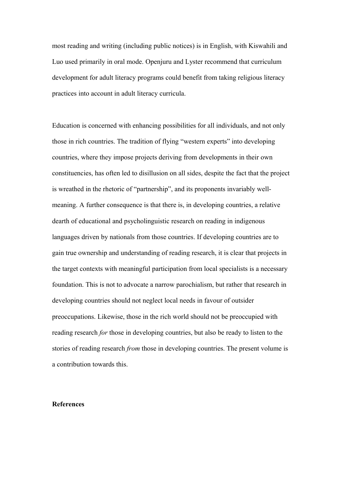most reading and writing (including public notices) is in English, with Kiswahili and Luo used primarily in oral mode. Openjuru and Lyster recommend that curriculum development for adult literacy programs could benefit from taking religious literacy practices into account in adult literacy curricula.

Education is concerned with enhancing possibilities for all individuals, and not only those in rich countries. The tradition of flying "western experts" into developing countries, where they impose projects deriving from developments in their own constituencies, has often led to disillusion on all sides, despite the fact that the project is wreathed in the rhetoric of "partnership", and its proponents invariably wellmeaning. A further consequence is that there is, in developing countries, a relative dearth of educational and psycholinguistic research on reading in indigenous languages driven by nationals from those countries. If developing countries are to gain true ownership and understanding of reading research, it is clear that projects in the target contexts with meaningful participation from local specialists is a necessary foundation. This is not to advocate a narrow parochialism, but rather that research in developing countries should not neglect local needs in favour of outsider preoccupations. Likewise, those in the rich world should not be preoccupied with reading research *for* those in developing countries, but also be ready to listen to the stories of reading research *from* those in developing countries. The present volume is a contribution towards this.

## **References**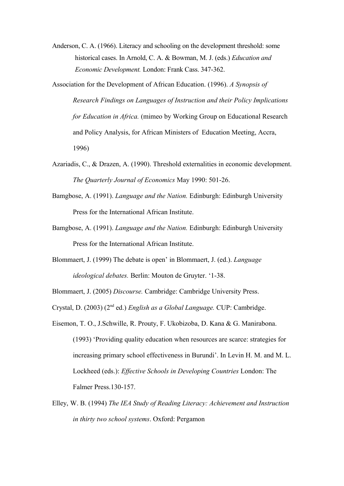- Anderson, C. A. (1966). Literacy and schooling on the development threshold: some historical cases. In Arnold, C. A. & Bowman, M. J. (eds.) *Education and Economic Development.* London: Frank Cass. 347-362.
- Association for the Development of African Education. (1996). *A Synopsis of Research Findings on Languages of Instruction and their Policy Implications for Education in Africa.* (mimeo by Working Group on Educational Research and Policy Analysis, for African Ministers of Education Meeting, Accra, 1996)
- Azariadis, C., & Drazen, A. (1990). Threshold externalities in economic development. *The Quarterly Journal of Economics* May 1990: 501-26.
- Bamgbose, A. (1991). *Language and the Nation.* Edinburgh: Edinburgh University Press for the International African Institute.
- Bamgbose, A. (1991). *Language and the Nation.* Edinburgh: Edinburgh University Press for the International African Institute.
- Blommaert, J. (1999) The debate is open' in Blommaert, J. (ed.). *Language ideological debates.* Berlin: Mouton de Gruyter. '1-38.

Blommaert, J. (2005) *Discourse.* Cambridge: Cambridge University Press.

Crystal, D. (2003) (2nd ed.) *English as a Global Language.* CUP: Cambridge.

- Eisemon, T. O., J.Schwille, R. Prouty, F. Ukobizoba, D. Kana & G. Manirabona. (1993) 'Providing quality education when resources are scarce: strategies for increasing primary school effectiveness in Burundi'. In Levin H. M. and M. L. Lockheed (eds.): *Effective Schools in Developing Countries* London: The Falmer Press.130-157.
- Elley, W. B. (1994) *The IEA Study of Reading Literacy: Achievement and Instruction in thirty two school systems*. Oxford: Pergamon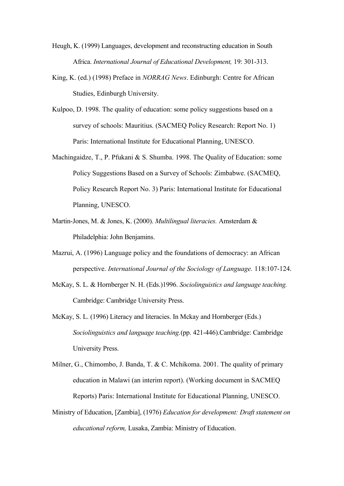- Heugh, K. (1999) Languages, development and reconstructing education in South Africa. *International Journal of Educational Development,* 19: 301-313.
- King, K. (ed.) (1998) Preface in *NORRAG News*. Edinburgh: Centre for African Studies, Edinburgh University.
- Kulpoo, D. 1998. The quality of education: some policy suggestions based on a survey of schools: Mauritius. (SACMEQ Policy Research: Report No. 1) Paris: International Institute for Educational Planning, UNESCO.
- Machingaidze, T., P. Pfukani & S. Shumba. 1998. The Quality of Education: some Policy Suggestions Based on a Survey of Schools: Zimbabwe. (SACMEQ, Policy Research Report No. 3) Paris: International Institute for Educational Planning, UNESCO.
- Martin-Jones, M. & Jones, K. (2000). *Multilingual literacies.* Amsterdam & Philadelphia: John Benjamins.
- Mazrui, A. (1996) Language policy and the foundations of democracy: an African perspective. *International Journal of the Sociology of Language.* 118:107-124.
- McKay, S. L. & Hornberger N. H. (Eds.)1996. *Sociolinguistics and language teaching.* Cambridge: Cambridge University Press.
- McKay, S. L. (1996) Literacy and literacies. In Mckay and Hornberger (Eds.) *Sociolinguistics and language teaching.*(pp. 421-446).Cambridge: Cambridge University Press.
- Milner, G., Chimombo, J. Banda, T. & C. Mchikoma. 2001. The quality of primary education in Malawi (an interim report). (Working document in SACMEQ Reports) Paris: International Institute for Educational Planning, UNESCO.
- Ministry of Education, [Zambia], (1976) *Education for development: Draft statement on educational reform,* Lusaka, Zambia: Ministry of Education.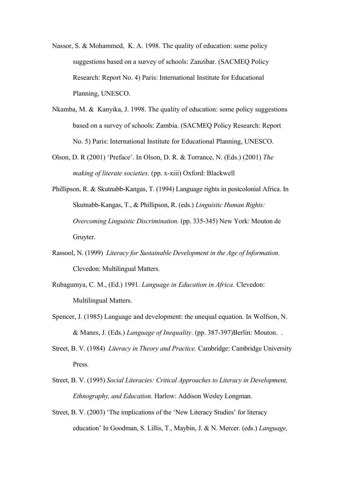- Nassor, S. & Mohammed, K. A. 1998. The quality of education: some policy suggestions based on a survey of schools: Zanzibar. (SACMEQ Policy Research: Report No. 4) Paris: International Institute for Educational Planning, UNESCO.
- Nkamba, M. & Kanyika, J. 1998. The quality of education: some policy suggestions based on a survey of schools: Zambia. (SACMEQ Policy Research: Report No. 5) Paris: International Institute for Educational Planning, UNESCO.
- Olson, D. R (2001) 'Preface'. In Olson, D. R. & Torrance, N. (Eds.) (2001) *The making of literate societies.* (pp. x-xiii) Oxford: Blackwell
- Phillipson, R. & Skutnabb-Kangas, T. (1994) Language rights in postcolonial Africa. In Skutnabb-Kangas, T., & Phillipson, R. (eds.) *Linguistic Human Rights: Overcoming Linguistic Discrimination.* (pp. 335-345) New York: Mouton de Gruyter.
- Rassool, N. (1999) *Literacy for Sustainable Development in the Age of Information.* Clevedon: Multilingual Matters.
- Rubagumya, C. M., (Ed.) 1991. *Language in Education in Africa.* Clevedon: Multilingual Matters.
- Spencer, J. (1985) Language and development: the unequal equation. In Wolfson, N. & Manes, J. (Eds.) *Language of Inequality*. (pp. 387-397)Berlin: Mouton. .
- Street, B. V. (1984) *Literacy in Theory and Practice.* Cambridge: Cambridge University Press.
- Street, B. V. (1995) *Social Literacies: Critical Approaches to Literacy in Development, Ethnography, and Education.* Harlow: Addison Wesley Longman.
- Street, B. V. (2003) 'The implications of the 'New Literacy Studies' for literacy education' In Goodman, S. Lillis, T., Maybin, J. & N. Mercer. (eds.) *Language,*